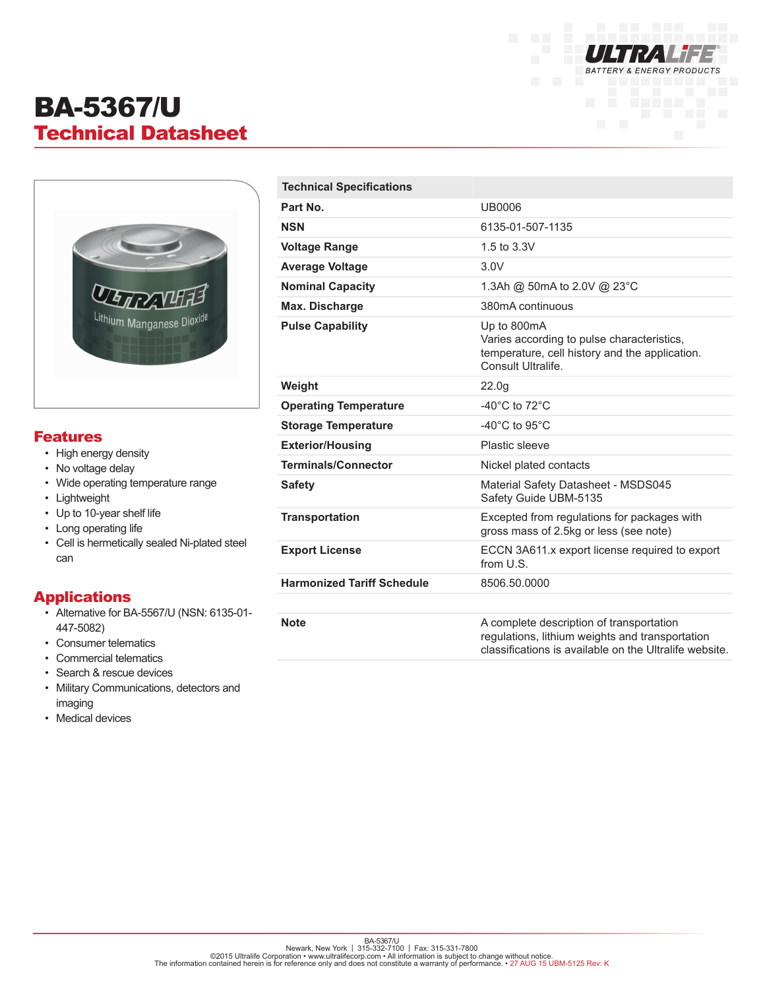

# BA-5367/U Technical Datasheet



#### Features

- High energy density
- No voltage delay
- Wide operating temperature range
- Lightweight
- Up to 10-year shelf life
- Long operating life
- Cell is hermetically sealed Ni-plated steel can

### Applications

- Alternative for BA-5567/U (NSN: 6135-01- 447-5082)
- Consumer telematics
- Commercial telematics
- Search & rescue devices
- Military Communications, detectors and imaging
- Medical devices

| <b>Technical Specifications</b>   |                                                                                                                                                       |
|-----------------------------------|-------------------------------------------------------------------------------------------------------------------------------------------------------|
| Part No.                          | <b>UB0006</b>                                                                                                                                         |
| <b>NSN</b>                        | 6135-01-507-1135                                                                                                                                      |
| <b>Voltage Range</b>              | 1.5 to 3.3V                                                                                                                                           |
| <b>Average Voltage</b>            | 3.0V                                                                                                                                                  |
| <b>Nominal Capacity</b>           | 1.3Ah @ 50mA to 2.0V @ 23°C                                                                                                                           |
| Max. Discharge                    | 380mA continuous                                                                                                                                      |
| <b>Pulse Capability</b>           | Up to 800mA<br>Varies according to pulse characteristics,<br>temperature, cell history and the application.<br>Consult Ultralife.                     |
| Weight                            | 22.0 <sub>g</sub>                                                                                                                                     |
| <b>Operating Temperature</b>      | -40 $^{\circ}$ C to 72 $^{\circ}$ C                                                                                                                   |
| <b>Storage Temperature</b>        | -40 $^{\circ}$ C to 95 $^{\circ}$ C                                                                                                                   |
| <b>Exterior/Housing</b>           | Plastic sleeve                                                                                                                                        |
| <b>Terminals/Connector</b>        | Nickel plated contacts                                                                                                                                |
| <b>Safety</b>                     | Material Safety Datasheet - MSDS045<br>Safety Guide UBM-5135                                                                                          |
| <b>Transportation</b>             | Excepted from regulations for packages with<br>gross mass of 2.5kg or less (see note)                                                                 |
| <b>Export License</b>             | ECCN 3A611.x export license required to export<br>from U.S.                                                                                           |
| <b>Harmonized Tariff Schedule</b> | 8506.50.0000                                                                                                                                          |
|                                   |                                                                                                                                                       |
| <b>Note</b>                       | A complete description of transportation<br>regulations, lithium weights and transportation<br>classifications is available on the Ultralife website. |

BA-5367/U<br>©2015 Ultralife Corporation • www.ultralifecorp.com • 1 Fax: 315-331-7800<br>The information contained herein is for reference only and does not constitute a warranty of performance. • 27 AUG 15 UBM-5125 Rev: K<br>The